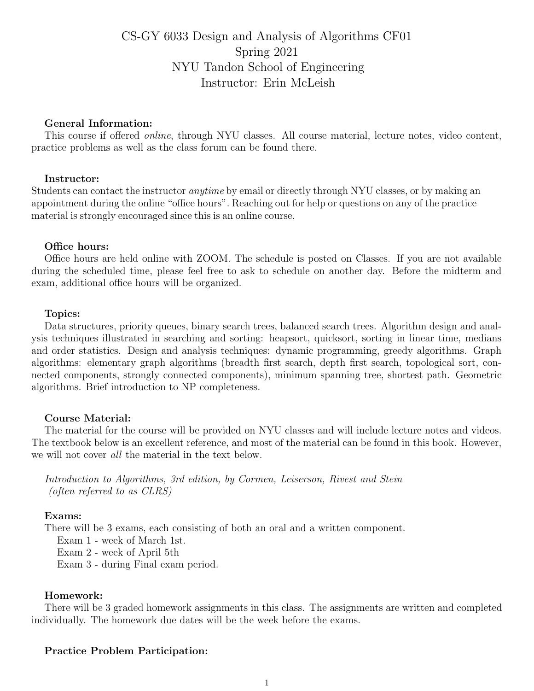# CS-GY 6033 Design and Analysis of Algorithms CF01 Spring 2021 NYU Tandon School of Engineering Instructor: Erin McLeish

## General Information:

This course if offered online, through NYU classes. All course material, lecture notes, video content, practice problems as well as the class forum can be found there.

## Instructor:

Students can contact the instructor anytime by email or directly through NYU classes, or by making an appointment during the online "office hours". Reaching out for help or questions on any of the practice material is strongly encouraged since this is an online course.

#### Office hours:

Office hours are held online with ZOOM. The schedule is posted on Classes. If you are not available during the scheduled time, please feel free to ask to schedule on another day. Before the midterm and exam, additional office hours will be organized.

#### Topics:

Data structures, priority queues, binary search trees, balanced search trees. Algorithm design and analysis techniques illustrated in searching and sorting: heapsort, quicksort, sorting in linear time, medians and order statistics. Design and analysis techniques: dynamic programming, greedy algorithms. Graph algorithms: elementary graph algorithms (breadth first search, depth first search, topological sort, connected components, strongly connected components), minimum spanning tree, shortest path. Geometric algorithms. Brief introduction to NP completeness.

#### Course Material:

The material for the course will be provided on NYU classes and will include lecture notes and videos. The textbook below is an excellent reference, and most of the material can be found in this book. However, we will not cover all the material in the text below.

Introduction to Algorithms, 3rd edition, by Cormen, Leiserson, Rivest and Stein (often referred to as CLRS)

#### Exams:

There will be 3 exams, each consisting of both an oral and a written component.

Exam 1 - week of March 1st.

Exam 2 - week of April 5th

Exam 3 - during Final exam period.

## Homework:

There will be 3 graded homework assignments in this class. The assignments are written and completed individually. The homework due dates will be the week before the exams.

#### Practice Problem Participation: